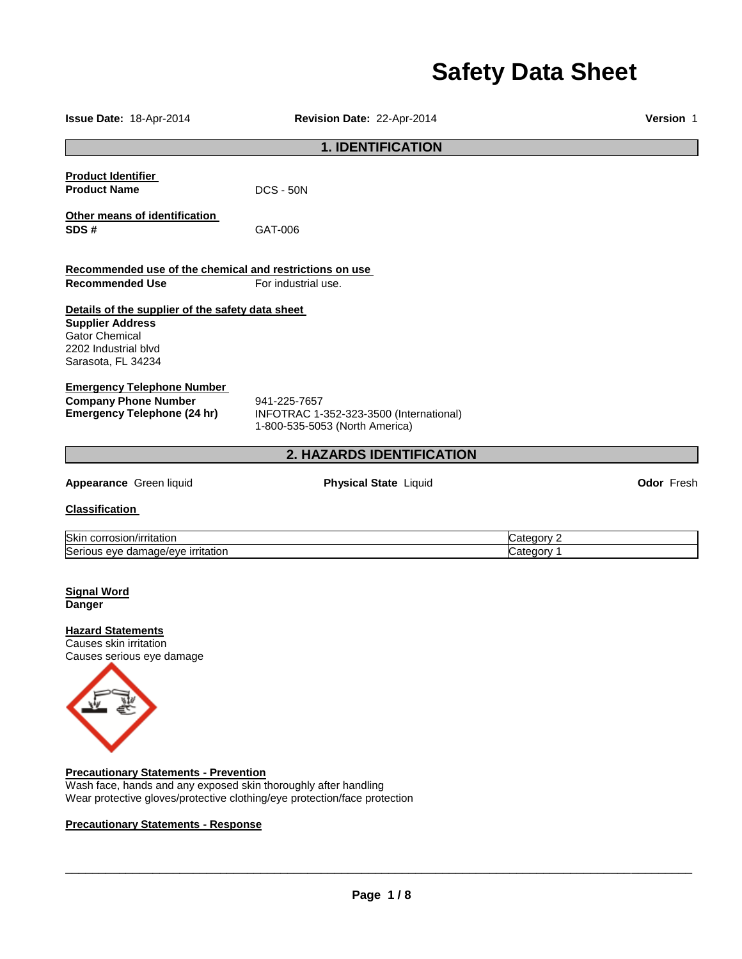# **Safety Data Sheet**

| Issue Date: 18-Apr-2014                                                                                                                            | Revision Date: 22-Apr-2014                                                                |            | Version 1         |
|----------------------------------------------------------------------------------------------------------------------------------------------------|-------------------------------------------------------------------------------------------|------------|-------------------|
|                                                                                                                                                    | <b>1. IDENTIFICATION</b>                                                                  |            |                   |
| <b>Product Identifier</b><br><b>Product Name</b>                                                                                                   | $DCS - 50N$                                                                               |            |                   |
| Other means of identification<br>SDS#                                                                                                              | GAT-006                                                                                   |            |                   |
| Recommended use of the chemical and restrictions on use                                                                                            |                                                                                           |            |                   |
| <b>Recommended Use</b>                                                                                                                             | For industrial use.                                                                       |            |                   |
| Details of the supplier of the safety data sheet<br><b>Supplier Address</b><br><b>Gator Chemical</b><br>2202 Industrial blvd<br>Sarasota, FL 34234 |                                                                                           |            |                   |
| <b>Emergency Telephone Number</b><br><b>Company Phone Number</b><br><b>Emergency Telephone (24 hr)</b>                                             | 941-225-7657<br>INFOTRAC 1-352-323-3500 (International)<br>1-800-535-5053 (North America) |            |                   |
|                                                                                                                                                    | 2. HAZARDS IDENTIFICATION                                                                 |            |                   |
| Appearance Green liquid                                                                                                                            | <b>Physical State Liquid</b>                                                              |            | <b>Odor Fresh</b> |
| <b>Classification</b>                                                                                                                              |                                                                                           |            |                   |
| Skin corrosion/irritation                                                                                                                          |                                                                                           | Category 2 |                   |
| Serious eye damage/eye irritation                                                                                                                  |                                                                                           | Category 1 |                   |
| <b>Signal Word</b><br><b>Danger</b>                                                                                                                |                                                                                           |            |                   |
| <b>Hazard Statements</b><br>Causes skin irritation<br>Causes serious eye damage                                                                    |                                                                                           |            |                   |

**Precautionary Statements - Prevention** Wash face, hands and any exposed skin thoroughly after handling Wear protective gloves/protective clothing/eye protection/face protection

## **Precautionary Statements - Response**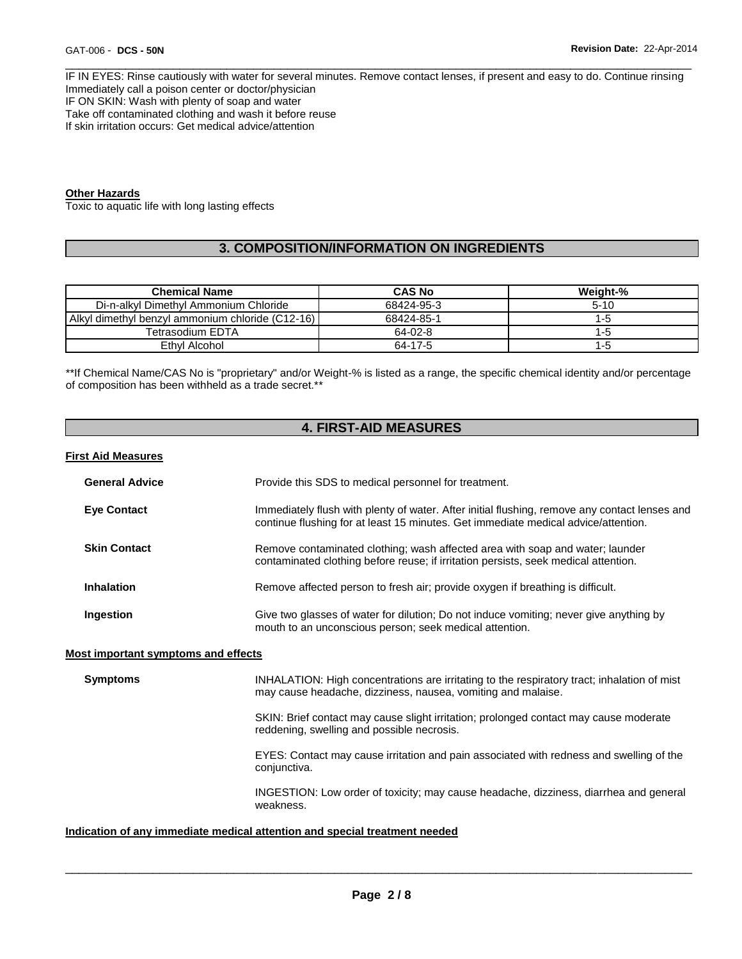\_\_\_\_\_\_\_\_\_\_\_\_\_\_\_\_\_\_\_\_\_\_\_\_\_\_\_\_\_\_\_\_\_\_\_\_\_\_\_\_\_\_\_\_\_\_\_\_\_\_\_\_\_\_\_\_\_\_\_\_\_\_\_\_\_\_\_\_\_\_\_\_\_\_\_\_\_\_\_\_\_\_\_\_\_\_\_\_\_\_\_\_\_ IF IN EYES: Rinse cautiously with water for several minutes. Remove contact lenses, if present and easy to do. Continue rinsing Immediately call a poison center or doctor/physician IF ON SKIN: Wash with plenty of soap and water Take off contaminated clothing and wash it before reuse If skin irritation occurs: Get medical advice/attention

## **Other Hazards**

Toxic to aquatic life with long lasting effects

## **3. COMPOSITION/INFORMATION ON INGREDIENTS**

| <b>Chemical Name</b>                                 | <b>CAS No</b> | Weight-% |
|------------------------------------------------------|---------------|----------|
| Di-n-alkyl Dimethyl Ammonium Chloride                | 68424-95-3    | $5 - 10$ |
| l Alkyl dimethyl benzyl ammonium chloride (C12-16) l | 68424-85-1    | 1-5      |
| Tetrasodium EDTA                                     | 64-02-8       | 1-5      |
| Ethyl Alcohol                                        | 64-17-5       | 1-5      |

\*\*If Chemical Name/CAS No is "proprietary" and/or Weight-% is listed as a range, the specific chemical identity and/or percentage of composition has been withheld as a trade secret.\*\*

## **4. FIRST-AID MEASURES**

#### **First Aid Measures**

| <b>General Advice</b> | Provide this SDS to medical personnel for treatment.                                                                                                                                |
|-----------------------|-------------------------------------------------------------------------------------------------------------------------------------------------------------------------------------|
| <b>Eye Contact</b>    | Immediately flush with plenty of water. After initial flushing, remove any contact lenses and<br>continue flushing for at least 15 minutes. Get immediate medical advice/attention. |
| <b>Skin Contact</b>   | Remove contaminated clothing; wash affected area with soap and water; launder<br>contaminated clothing before reuse; if irritation persists, seek medical attention.                |
| <b>Inhalation</b>     | Remove affected person to fresh air; provide oxygen if breathing is difficult.                                                                                                      |
| Ingestion             | Give two glasses of water for dilution; Do not induce vomiting; never give anything by<br>mouth to an unconscious person; seek medical attention.                                   |

#### **Most important symptoms and effects**

**Symptoms INHALATION: High concentrations are irritating to the respiratory tract; inhalation of mist** may cause headache, dizziness, nausea, vomiting and malaise.

> SKIN: Brief contact may cause slight irritation; prolonged contact may cause moderate reddening, swelling and possible necrosis.

EYES: Contact may cause irritation and pain associated with redness and swelling of the conjunctiva.

INGESTION: Low order of toxicity; may cause headache, dizziness, diarrhea and general weakness.

## **Indication of any immediate medical attention and special treatment needed**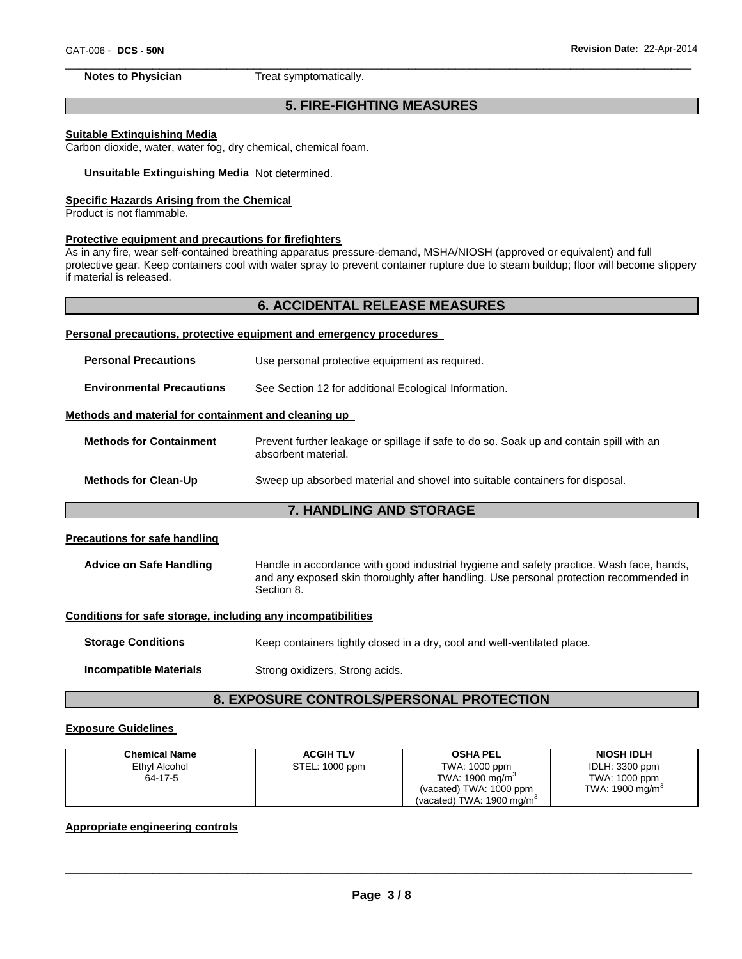#### \_\_\_\_\_\_\_\_\_\_\_\_\_\_\_\_\_\_\_\_\_\_\_\_\_\_\_\_\_\_\_\_\_\_\_\_\_\_\_\_\_\_\_\_\_\_\_\_\_\_\_\_\_\_\_\_\_\_\_\_\_\_\_\_\_\_\_\_\_\_\_\_\_\_\_\_\_\_\_\_\_\_\_\_\_\_\_\_\_\_\_\_\_ **Notes to Physician**  Treat symptomatically.

## **5. FIRE-FIGHTING MEASURES**

## **Suitable Extinguishing Media**

Carbon dioxide, water, water fog, dry chemical, chemical foam.

**Unsuitable Extinguishing Media** Not determined.

#### **Specific Hazards Arising from the Chemical**

Product is not flammable.

#### **Protective equipment and precautions for firefighters**

As in any fire, wear self-contained breathing apparatus pressure-demand, MSHA/NIOSH (approved or equivalent) and full protective gear. Keep containers cool with water spray to prevent container rupture due to steam buildup; floor will become slippery if material is released.

## **6. ACCIDENTAL RELEASE MEASURES**

#### **Personal precautions, protective equipment and emergency procedures**

| <b>7. HANDLING AND STORAGE</b>                                                                                 |
|----------------------------------------------------------------------------------------------------------------|
|                                                                                                                |
| Sweep up absorbed material and shovel into suitable containers for disposal.                                   |
| Prevent further leakage or spillage if safe to do so. Soak up and contain spill with an<br>absorbent material. |
| Methods and material for containment and cleaning up                                                           |
| See Section 12 for additional Ecological Information.                                                          |
| Use personal protective equipment as required.                                                                 |
|                                                                                                                |

## **Precautions for safe handling**

**Advice on Safe Handling** Handle in accordance with good industrial hygiene and safety practice. Wash face, hands, and any exposed skin thoroughly after handling. Use personal protection recommended in Section 8.

#### **Conditions for safe storage, including any incompatibilities**

**Storage Conditions Keep containers tightly closed in a dry, cool and well-ventilated place.** 

**Incompatible Materials Strong oxidizers, Strong acids.** 

## **8. EXPOSURE CONTROLS/PERSONAL PROTECTION**

#### **Exposure Guidelines**

| <b>Chemical Name</b>     | <b>ACGIH TLV</b> | <b>OSHA PEL</b>                                                                                                   | <b>NIOSH IDLH</b>                                             |
|--------------------------|------------------|-------------------------------------------------------------------------------------------------------------------|---------------------------------------------------------------|
| Ethyl Alcohol<br>64-17-5 | STEL: 1000 ppm   | TWA: 1000 ppm<br>TWA: $1900 \text{ mg/m}^3$<br>(vacated) TWA: 1000 ppm<br>(vacated) TWA: $1900 \,\mathrm{mq/m^3}$ | IDLH: 3300 ppm<br>TWA: 1000 ppm<br>TWA: $1900 \text{ mg/m}^3$ |

## **Appropriate engineering controls**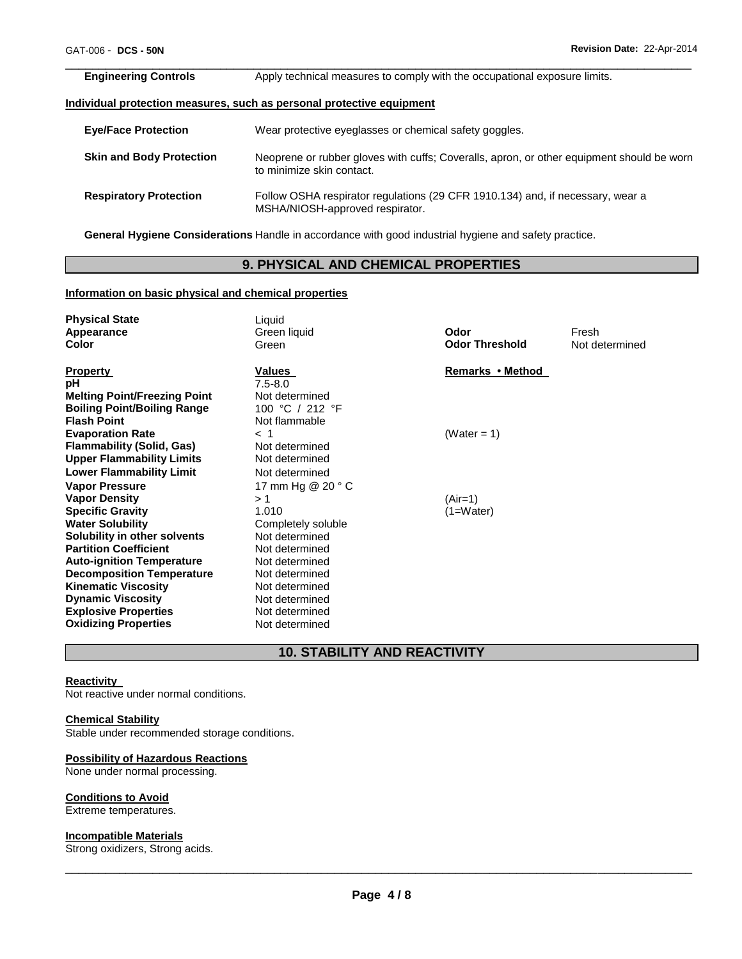| <b>Engineering Controls</b>     | Apply technical measures to comply with the occupational exposure limits.                                              |
|---------------------------------|------------------------------------------------------------------------------------------------------------------------|
|                                 | Individual protecti <u>on measures, such as personal protective equipment</u>                                          |
| <b>Eye/Face Protection</b>      | Wear protective eyeglasses or chemical safety goggles.                                                                 |
| <b>Skin and Body Protection</b> | Neoprene or rubber gloves with cuffs; Coveralls, apron, or other equipment should be worn<br>to minimize skin contact. |
| <b>Respiratory Protection</b>   | Follow OSHA respirator regulations (29 CFR 1910.134) and, if necessary, wear a<br>MSHA/NIOSH-approved respirator.      |

**General Hygiene Considerations** Handle in accordance with good industrial hygiene and safety practice.

# **9. PHYSICAL AND CHEMICAL PROPERTIES**

## **Information on basic physical and chemical properties**

| <b>Physical State</b><br>Appearance<br>Color                                                                                                                                                                                                                                                                                                                        | Liquid<br>Green liquid<br>Green                                                                                                                                                                        | Odor<br><b>Odor Threshold</b> | Fresh<br>Not determined |
|---------------------------------------------------------------------------------------------------------------------------------------------------------------------------------------------------------------------------------------------------------------------------------------------------------------------------------------------------------------------|--------------------------------------------------------------------------------------------------------------------------------------------------------------------------------------------------------|-------------------------------|-------------------------|
| <b>Property</b><br>рH<br><b>Melting Point/Freezing Point</b><br><b>Boiling Point/Boiling Range</b><br><b>Flash Point</b>                                                                                                                                                                                                                                            | Values<br>$7.5 - 8.0$<br>Not determined<br>100 °C / 212 °F<br>Not flammable                                                                                                                            | Remarks • Method              |                         |
| <b>Evaporation Rate</b><br><b>Flammability (Solid, Gas)</b><br><b>Upper Flammability Limits</b><br><b>Lower Flammability Limit</b>                                                                                                                                                                                                                                  | $<$ 1<br>Not determined<br>Not determined<br>Not determined                                                                                                                                            | (Water = $1$ )                |                         |
| <b>Vapor Pressure</b><br><b>Vapor Density</b><br><b>Specific Gravity</b><br><b>Water Solubility</b><br>Solubility in other solvents<br><b>Partition Coefficient</b><br><b>Auto-ignition Temperature</b><br><b>Decomposition Temperature</b><br><b>Kinematic Viscosity</b><br><b>Dynamic Viscosity</b><br><b>Explosive Properties</b><br><b>Oxidizing Properties</b> | 17 mm Hg @ 20 ° C<br>>1<br>1.010<br>Completely soluble<br>Not determined<br>Not determined<br>Not determined<br>Not determined<br>Not determined<br>Not determined<br>Not determined<br>Not determined | $(Air=1)$<br>$(1=Water)$      |                         |

# **10. STABILITY AND REACTIVITY**

## **Reactivity**

Not reactive under normal conditions.

## **Chemical Stability**

Stable under recommended storage conditions.

## **Possibility of Hazardous Reactions**

None under normal processing.

#### **Conditions to Avoid**

Extreme temperatures.

#### **Incompatible Materials**

Strong oxidizers, Strong acids.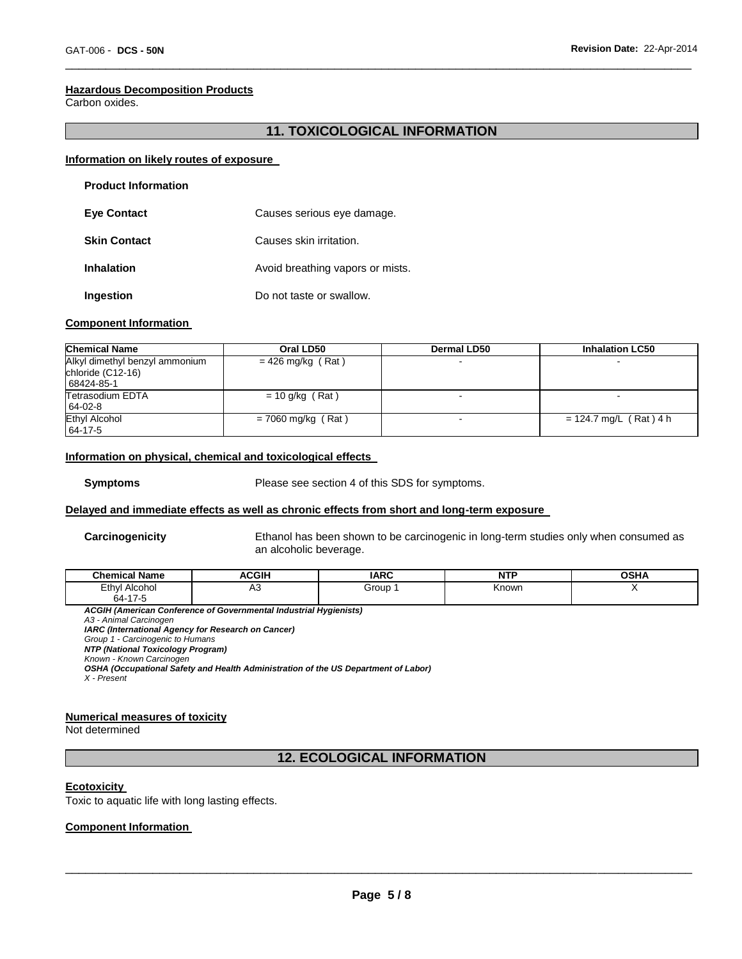#### **Hazardous Decomposition Products**

Carbon oxides.

## **11. TOXICOLOGICAL INFORMATION**

\_\_\_\_\_\_\_\_\_\_\_\_\_\_\_\_\_\_\_\_\_\_\_\_\_\_\_\_\_\_\_\_\_\_\_\_\_\_\_\_\_\_\_\_\_\_\_\_\_\_\_\_\_\_\_\_\_\_\_\_\_\_\_\_\_\_\_\_\_\_\_\_\_\_\_\_\_\_\_\_\_\_\_\_\_\_\_\_\_\_\_\_\_

#### **Information on likely routes of exposure**

| <b>Product Information</b> |                                  |
|----------------------------|----------------------------------|
| <b>Eye Contact</b>         | Causes serious eye damage.       |
| <b>Skin Contact</b>        | Causes skin irritation.          |
| <b>Inhalation</b>          | Avoid breathing vapors or mists. |
| Ingestion                  | Do not taste or swallow.         |

#### **Component Information**

| <b>Chemical Name</b>                                              | Oral LD50            | Dermal LD50 | <b>Inhalation LC50</b>   |
|-------------------------------------------------------------------|----------------------|-------------|--------------------------|
| Alkyl dimethyl benzyl ammonium<br>chloride (C12-16)<br>68424-85-1 | $= 426$ mg/kg (Rat)  |             |                          |
| Tetrasodium EDTA<br>64-02-8                                       | $= 10$ g/kg (Rat)    |             |                          |
| Ethyl Alcohol<br>64-17-5                                          | $= 7060$ mg/kg (Rat) |             | $= 124.7$ mg/L (Rat) 4 h |

#### **Information on physical, chemical and toxicological effects**

**Symptoms** Please see section 4 of this SDS for symptoms.

#### **Delayed and immediate effects as well as chronic effects from short and long-term exposure**

**Carcinogenicity** Ethanol has been shown to be carcinogenic in long-term studies only when consumed as an alcoholic beverage.

| <b>Chemical Name</b>     | <b>ACGIH</b> | <b>IARC</b> | NTP   | <b>OSHA</b> |
|--------------------------|--------------|-------------|-------|-------------|
| Ethyl Alcohol<br>64-17-5 | nu<br>$\sim$ | Group       | Known |             |

*ACGIH (American Conference of Governmental Industrial Hygienists) A3 - Animal Carcinogen IARC (International Agency for Research on Cancer) Group 1 - Carcinogenic to Humans NTP (National Toxicology Program) Known - Known Carcinogen OSHA (Occupational Safety and Health Administration of the US Department of Labor) X - Present* 

#### **Numerical measures of toxicity**

Not determined

**12. ECOLOGICAL INFORMATION** 

#### **Ecotoxicity**

Toxic to aquatic life with long lasting effects.

## **Component Information**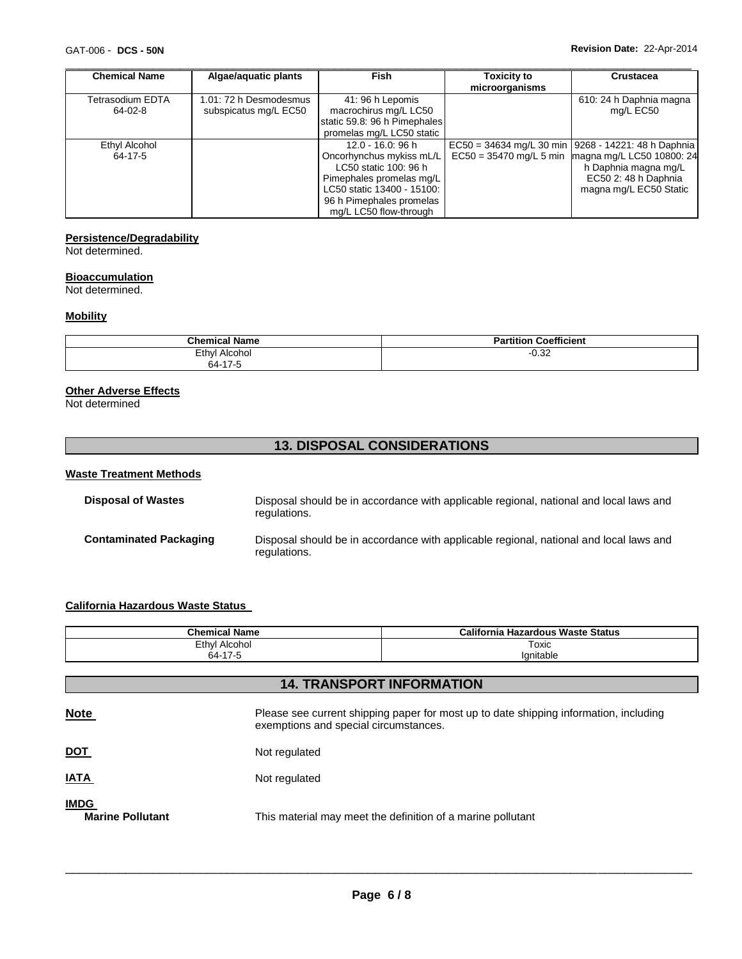| <b>Chemical Name</b> | Algae/aquatic plants   | <b>Fish</b>                  | <b>Toxicity to</b> | <b>Crustacea</b>                                        |
|----------------------|------------------------|------------------------------|--------------------|---------------------------------------------------------|
|                      |                        |                              | microorganisms     |                                                         |
| Tetrasodium EDTA     | 1.01: 72 h Desmodesmus | 41: 96 h Lepomis             |                    | 610: 24 h Daphnia magna                                 |
| $64-02-8$            | subspicatus mg/L EC50  | macrochirus mg/L LC50        |                    | mg/L EC50                                               |
|                      |                        | static 59.8: 96 h Pimephales |                    |                                                         |
|                      |                        | promelas mg/L LC50 static    |                    |                                                         |
| Ethyl Alcohol        |                        | $12.0 - 16.0$ : 96 h         |                    | $EC50 = 34634$ mg/L 30 min   9268 - 14221: 48 h Daphnia |
| 64-17-5              |                        | Oncorhynchus mykiss mL/L     |                    | $EC50 = 35470$ mg/L 5 min magna mg/L LC50 10800: 24     |
|                      |                        | LC50 static 100: 96 h        |                    | h Daphnia magna mg/L                                    |
|                      |                        | Pimephales promelas mg/L     |                    | EC50 2: 48 h Daphnia                                    |
|                      |                        | LC50 static 13400 - 15100:   |                    | magna mg/L EC50 Static                                  |
|                      |                        | 96 h Pimephales promelas     |                    |                                                         |
|                      |                        | mg/L LC50 flow-through       |                    |                                                         |

## **Persistence/Degradability**

Not determined.

#### **Bioaccumulation**

Not determined.

#### **Mobility**

| <b>Chemical Name</b> | <b>Coefficient</b><br><b>Partition</b> |
|----------------------|----------------------------------------|
| Ethyl<br>' Alcohol   | ∩ ∩ח<br>-∪.J∠                          |
| 64-17-5<br>- 1750    |                                        |

## **Other Adverse Effects**

Not determined

## **13. DISPOSAL CONSIDERATIONS**

## **Waste Treatment Methods**

| <b>Disposal of Wastes</b>     | Disposal should be in accordance with applicable regional, national and local laws and<br>regulations. |
|-------------------------------|--------------------------------------------------------------------------------------------------------|
| <b>Contaminated Packaging</b> | Disposal should be in accordance with applicable regional, national and local laws and<br>regulations. |

## **California Hazardous Waste Status**

| <b>Chemical Name</b>  | California<br>ı Hazardous Waste Status |  |  |
|-----------------------|----------------------------------------|--|--|
| Ethyl<br>Alcohol<br>. | Toxic                                  |  |  |
| 47<br>64-<br>-1750    | lanitable                              |  |  |

| <b>14. TRANSPORT INFORMATION</b>       |                                                                                                                                |  |  |  |
|----------------------------------------|--------------------------------------------------------------------------------------------------------------------------------|--|--|--|
| <b>Note</b>                            | Please see current shipping paper for most up to date shipping information, including<br>exemptions and special circumstances. |  |  |  |
| <u>DOT</u>                             | Not regulated                                                                                                                  |  |  |  |
| <b>IATA</b>                            | Not regulated                                                                                                                  |  |  |  |
| <b>IMDG</b><br><b>Marine Pollutant</b> | This material may meet the definition of a marine pollutant                                                                    |  |  |  |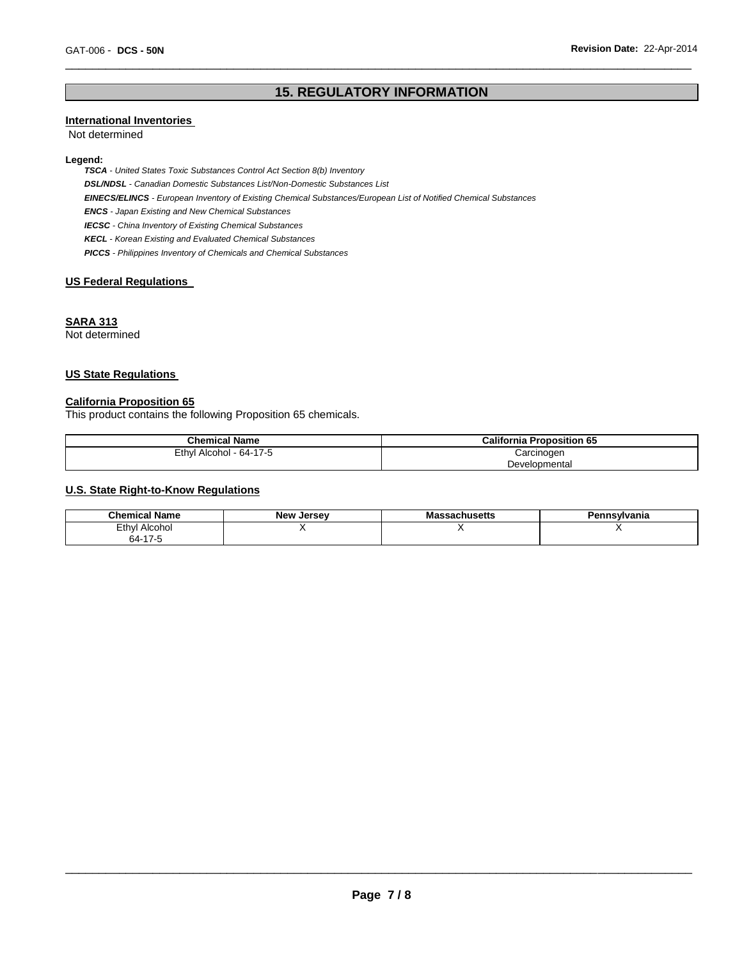# **15. REGULATORY INFORMATION**

\_\_\_\_\_\_\_\_\_\_\_\_\_\_\_\_\_\_\_\_\_\_\_\_\_\_\_\_\_\_\_\_\_\_\_\_\_\_\_\_\_\_\_\_\_\_\_\_\_\_\_\_\_\_\_\_\_\_\_\_\_\_\_\_\_\_\_\_\_\_\_\_\_\_\_\_\_\_\_\_\_\_\_\_\_\_\_\_\_\_\_\_\_

## **International Inventories**

Not determined

#### **Legend:**

*TSCA - United States Toxic Substances Control Act Section 8(b) Inventory DSL/NDSL - Canadian Domestic Substances List/Non-Domestic Substances List EINECS/ELINCS - European Inventory of Existing Chemical Substances/European List of Notified Chemical Substances ENCS - Japan Existing and New Chemical Substances IECSC - China Inventory of Existing Chemical Substances KECL - Korean Existing and Evaluated Chemical Substances PICCS - Philippines Inventory of Chemicals and Chemical Substances* 

## **US Federal Regulations**

## **SARA 313**

Not determined

## **US State Regulations**

## **California Proposition 65**

This product contains the following Proposition 65 chemicals.

| <b>Chemical Name</b>    | <b>California Proposition 65</b> |  |
|-------------------------|----------------------------------|--|
| Ethyl Alcohol - 64-17-5 | Carcinogen                       |  |
|                         | Developmental                    |  |

## **U.S. State Right-to-Know Regulations**

| ' Name<br>Chemical.                | <b>New Jersey</b> | husetts | ennsvlvania |
|------------------------------------|-------------------|---------|-------------|
| Ethyl<br>Alcohol                   |                   |         |             |
| $64 - 17 - 5$<br>$\sim$ 1.1 $\sim$ |                   |         |             |